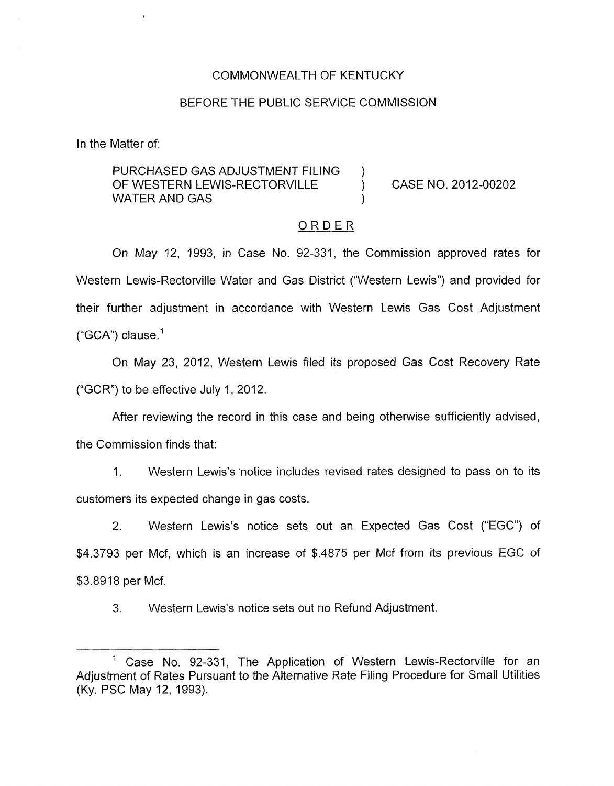## COMMONWEALTH OF KENTUCKY

#### BEFORE THE PUBLIC SERVICE COMMISSION

In the Matter of:

## PURCHASED GAS ADJUSTMENT FILING )<br>OF WESTERN LEWIS-RECTORVILLE OF WESTERN LEWIS-RECTORVILLE ) CASE NO. 2012-00202 WATER AND GAS

## ORDER

On May 12, 1993, in Case No. 92-331, the Commission approved rates for Western Lewis-Rectorville Water and Gas District ("Western Lewis") and provided for their further adjustment in accordance with Western Lewis Gas Cost Adjustment  $("GCA")$  clause.<sup>1</sup>

On May 23, 2012, Western Lewis filed its proposed Gas Cost Recovery Rate ("GCR") to be effective July 1, 2012.

After reviewing the record in this case and being otherwise sufficiently advised,

the Commission finds that:

1. Western Lewis's 'notice includes revised rates designed to pass on to its customers its expected change in gas costs.

2. Western Lewis's notice sets out an Expected Gas Cost ("EGC") of \$4.3793 per Mcf, which is an increase of \$.4875 per Mcf from its previous EGC of \$3.8918 per Mcf.

3. Western Lewis's notice sets out no Refund Adjustment.

Case No. 92-331, The Application of Western Lewis-Rectorville for an Adjustment of Rates Pursuant to the Alternative Rate Filing Procedure for Small Utilities (Ky. PSC May 12, 1993).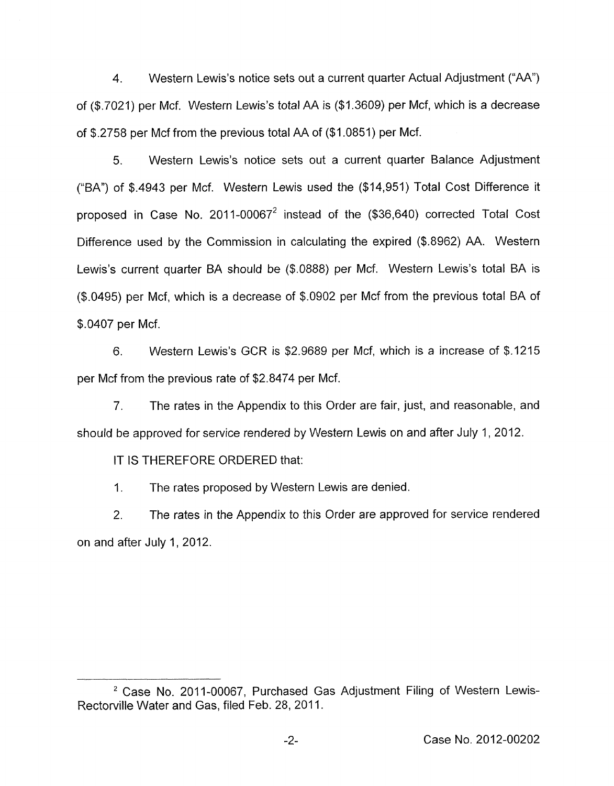4. Western Lewis's notice sets out a current quarter Actual Adjustment ("AA") of (\$.7021) per Mcf. Western Lewis's total AA is (\$1.3609) per Mcf, which is a decrease of \$.2758 per Mcf from the previous total AA of (\$1.0851) per Mcf.

5. Western Lewis's notice sets out a current quarter Balance Adjustment ("BA") of \$.4943 per Mcf. Western Lewis used the (\$14,951) Total Cost Difference it proposed in Case No. 2011-00067 $^2$  instead of the (\$36,640) corrected Total Cost Difference used by the Commission in calculating the expired (\$.8962) AA. Western Lewis's current quarter BA should be (\$.0888) per Mcf. Western Lewis's total BA is (\$.0495) per Mcf, which is a decrease of \$.0902 per Mcf from the previous total BA of \$.0407 per Mcf.

6. Western Lewis's GCR is \$2.9689 per Mcf, which is a increase of \$.I215 per Mcf from the previous rate of \$2.8474 per Mcf.

7. The rates in the Appendix to this Order are fair, just, and reasonable, and should be approved for service rendered **by** Western Lewis on and after July 1 , 2012.

IT IS THEREFORE ORDERED that:

1. The rates proposed by Western Lewis are denied.

2. The rates in the Appendix to this Order are approved for service rendered on and after July 1, 2012.

<sup>&</sup>lt;sup>2</sup> Case No. 2011-00067, Purchased Gas Adjustment Filing of Western Lewis-Rectorville Water and Gas, filed Feb. 28, 2011.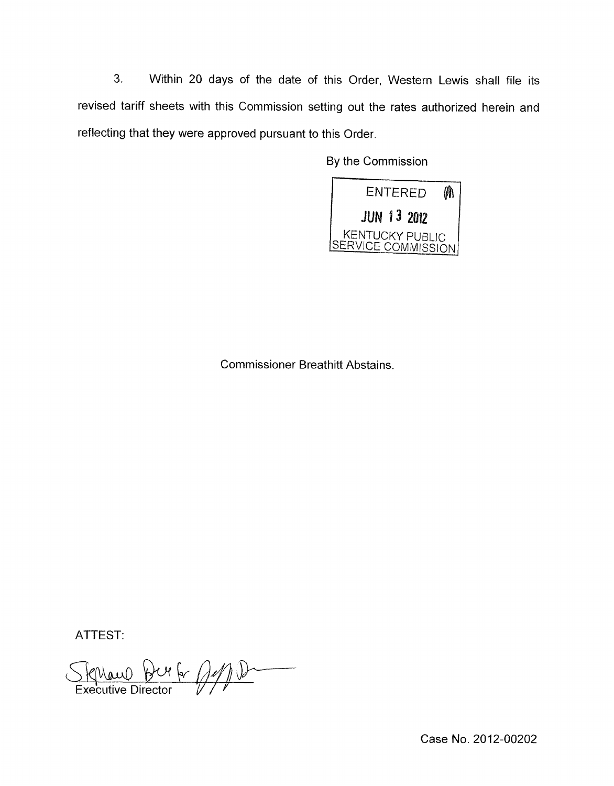**3.** Within 20 days of the date of this Order, Western Lewis shall file its revised tariff sheets with this Commission setting out the rates authorized herein and reflecting that they were approved pursuant to this Order

By the Commission



Commissioner Breathitt Abstains.

ATTEST:

Stephano Bur 6, 2110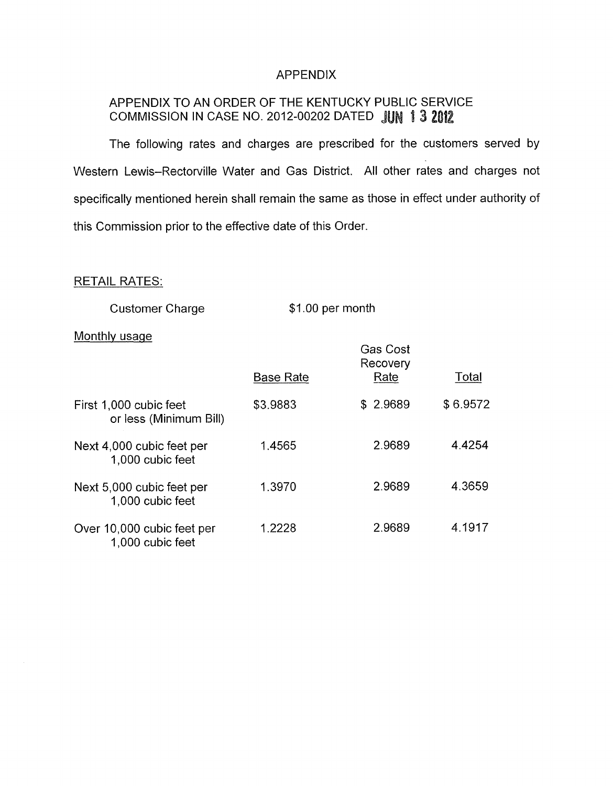## APPENDIX

# APPENDIX TO AN ORDER OF THE KENTUCKY PUBLIC SERVICE COMMISSION IN CASE NO. 2012-00202 DATED **JUN 1 3 2012**

The following rates and charges are prescribed for the customers served by Western Lewis-Rectorville Water and Gas District. All other rates and charges not specifically mentioned herein shall remain the same as those in effect under authority of this Commission prior to the effective date of this Order.

## RETAIL RATES:

| <b>Customer Charge</b> | \$1.00 per month |
|------------------------|------------------|
|------------------------|------------------|

### Monthly usage

|                                                  |                  | <b>Gas Cost</b><br>Recovery<br>Rate |          |  |
|--------------------------------------------------|------------------|-------------------------------------|----------|--|
|                                                  | <b>Base Rate</b> |                                     | Total    |  |
| First 1,000 cubic feet<br>or less (Minimum Bill) | \$3.9883         | \$2.9689                            | \$6.9572 |  |
| Next 4,000 cubic feet per<br>1,000 cubic feet    | 1.4565           | 2.9689                              | 4.4254   |  |
| Next 5,000 cubic feet per<br>1,000 cubic feet    | 1.3970           | 2.9689                              | 4.3659   |  |
| Over 10,000 cubic feet per<br>1,000 cubic feet   | 1.2228           | 2.9689                              | 4.1917   |  |